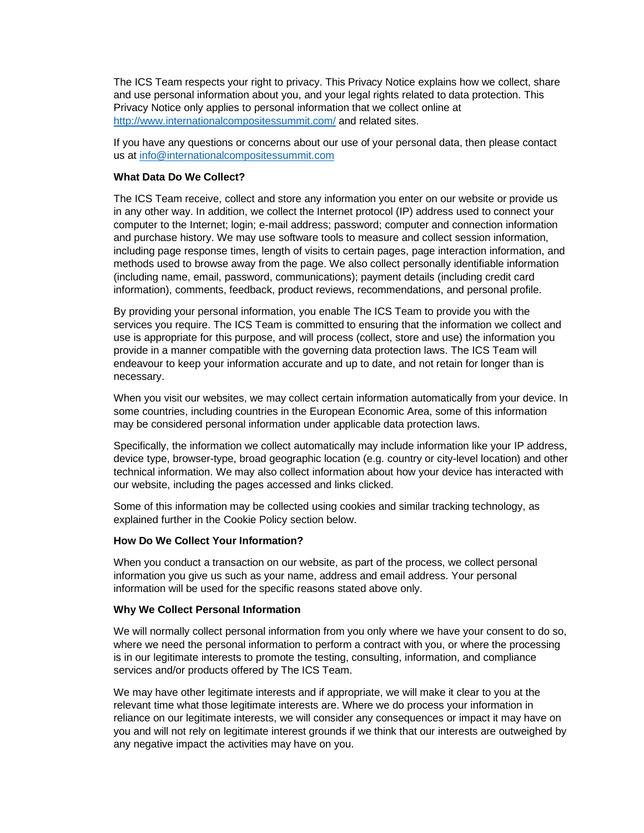The ICS Team respects your right to privacy. This Privacy Notice explains how we collect, share and use personal information about you, and your legal rights related to data protection. This Privacy Notice only applies to personal information that we collect online at <http://www.internationalcompositessummit.com/> and related sites.

If you have any questions or concerns about our use of your personal data, then please contact us at [info@internationalcompositessummit.com](mailto::info@internationalcompositessummit.com)

# **What Data Do We Collect?**

The ICS Team receive, collect and store any information you enter on our website or provide us in any other way. In addition, we collect the Internet protocol (IP) address used to connect your computer to the Internet; login; e-mail address; password; computer and connection information and purchase history. We may use software tools to measure and collect session information, including page response times, length of visits to certain pages, page interaction information, and methods used to browse away from the page. We also collect personally identifiable information (including name, email, password, communications); payment details (including credit card information), comments, feedback, product reviews, recommendations, and personal profile.

By providing your personal information, you enable The ICS Team to provide you with the services you require. The ICS Team is committed to ensuring that the information we collect and use is appropriate for this purpose, and will process (collect, store and use) the information you provide in a manner compatible with the governing data protection laws. The ICS Team will endeavour to keep your information accurate and up to date, and not retain for longer than is necessary.

When you visit our websites, we may collect certain information automatically from your device. In some countries, including countries in the European Economic Area, some of this information may be considered personal information under applicable data protection laws.

Specifically, the information we collect automatically may include information like your IP address, device type, browser-type, broad geographic location (e.g. country or city-level location) and other technical information. We may also collect information about how your device has interacted with our website, including the pages accessed and links clicked.

Some of this information may be collected using cookies and similar tracking technology, as explained further in the Cookie Policy section below.

## **How Do We Collect Your Information?**

When you conduct a transaction on our website, as part of the process, we collect personal information you give us such as your name, address and email address. Your personal information will be used for the specific reasons stated above only.

#### **Why We Collect Personal Information**

We will normally collect personal information from you only where we have your consent to do so, where we need the personal information to perform a contract with you, or where the processing is in our legitimate interests to promote the testing, consulting, information, and compliance services and/or products offered by The ICS Team.

We may have other legitimate interests and if appropriate, we will make it clear to you at the relevant time what those legitimate interests are. Where we do process your information in reliance on our legitimate interests, we will consider any consequences or impact it may have on you and will not rely on legitimate interest grounds if we think that our interests are outweighed by any negative impact the activities may have on you.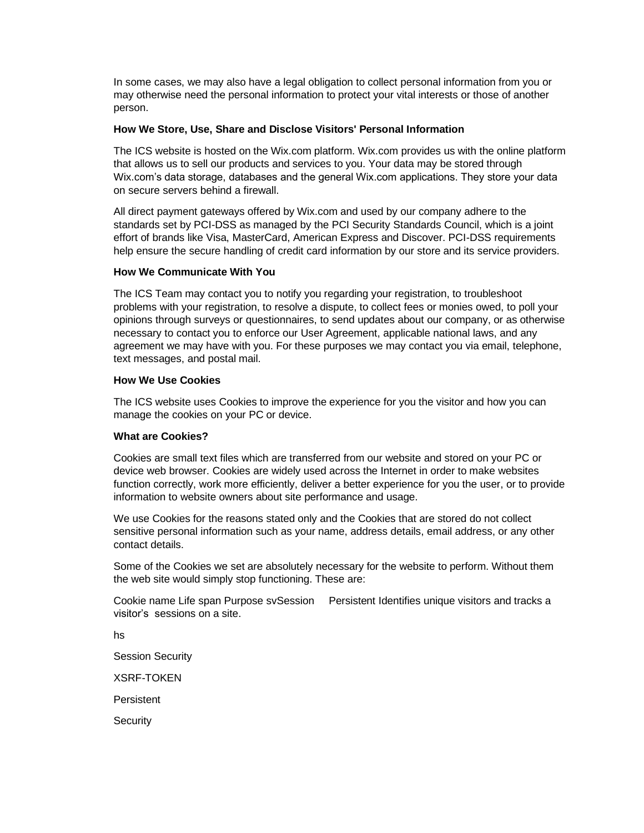In some cases, we may also have a legal obligation to collect personal information from you or may otherwise need the personal information to protect your vital interests or those of another person.

## **How We Store, Use, Share and Disclose Visitors' Personal Information**

The ICS website is hosted on the Wix.com platform. Wix.com provides us with the online platform that allows us to sell our products and services to you. Your data may be stored through Wix.com's data storage, databases and the general Wix.com applications. They store your data on secure servers behind a firewall.

All direct payment gateways offered by Wix.com and used by our company adhere to the standards set by PCI-DSS as managed by the PCI Security Standards Council, which is a joint effort of brands like Visa, MasterCard, American Express and Discover. PCI-DSS requirements help ensure the secure handling of credit card information by our store and its service providers.

## **How We Communicate With You**

The ICS Team may contact you to notify you regarding your registration, to troubleshoot problems with your registration, to resolve a dispute, to collect fees or monies owed, to poll your opinions through surveys or questionnaires, to send updates about our company, or as otherwise necessary to contact you to enforce our User Agreement, applicable national laws, and any agreement we may have with you. For these purposes we may contact you via email, telephone, text messages, and postal mail.

## **How We Use Cookies**

The ICS website uses Cookies to improve the experience for you the visitor and how you can manage the cookies on your PC or device.

## **What are Cookies?**

Cookies are small text files which are transferred from our website and stored on your PC or device web browser. Cookies are widely used across the Internet in order to make websites function correctly, work more efficiently, deliver a better experience for you the user, or to provide information to website owners about site performance and usage.

We use Cookies for the reasons stated only and the Cookies that are stored do not collect sensitive personal information such as your name, address details, email address, or any other contact details.

Some of the Cookies we set are absolutely necessary for the website to perform. Without them the web site would simply stop functioning. These are:

Cookie name Life span Purpose svSession Persistent Identifies unique visitors and tracks a visitor's sessions on a site.

hs

Session Security

XSRF-TOKEN

**Persistent** 

**Security**